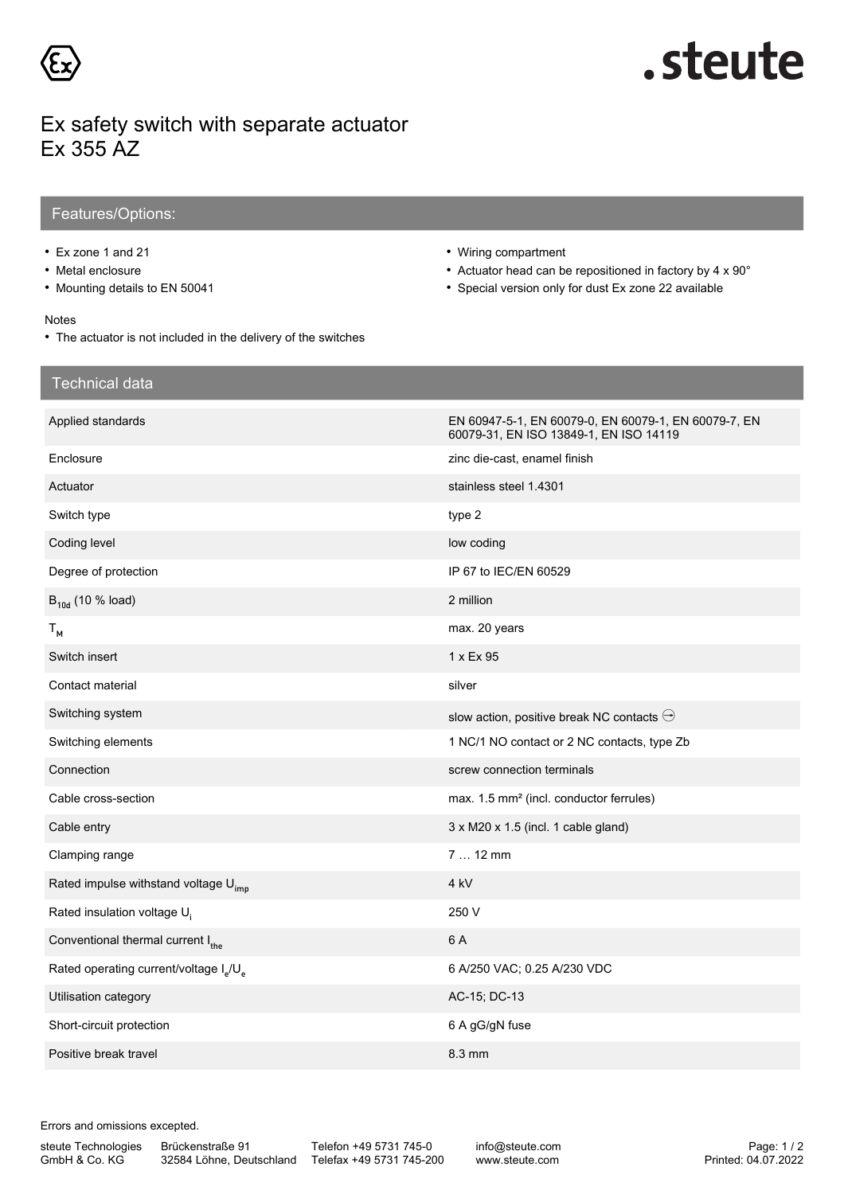

# .steute

### Ex safety switch with separate actuator Ex 355 AZ

#### Features/Options:

• Ex zone 1 and 21

Technical data

- Metal enclosure
- Mounting details to EN 50041
- Wiring compartment
- Actuator head can be repositioned in factory by 4 x 90°
- Special version only for dust Ex zone 22 available

60079-31, EN ISO 13849-1, EN ISO 14119

#### Notes

• The actuator is not included in the delivery of the switches

## Applied standards **EN 60079-0, EN 60079-0, EN 60079-1, EN 60079-1, EN 60079-7, EN** Enclosure **Enclosure zinc die-cast, enamel finish** Actuator stainless steel 1.4301

| Switch type                                                    | type 2                                              |
|----------------------------------------------------------------|-----------------------------------------------------|
| Coding level                                                   | low coding                                          |
| Degree of protection                                           | IP 67 to IEC/EN 60529                               |
| $B_{10d}$ (10 % load)                                          | 2 million                                           |
| $T_{M}$                                                        | max. 20 years                                       |
| Switch insert                                                  | 1 x Ex 95                                           |
| Contact material                                               | silver                                              |
| Switching system                                               | slow action, positive break NC contacts $\ominus$   |
| Switching elements                                             | 1 NC/1 NO contact or 2 NC contacts, type Zb         |
| Connection                                                     | screw connection terminals                          |
| Cable cross-section                                            | max. 1.5 mm <sup>2</sup> (incl. conductor ferrules) |
| Cable entry                                                    | $3 \times M20 \times 1.5$ (incl. 1 cable gland)     |
| Clamping range                                                 | 7  12 mm                                            |
| Rated impulse withstand voltage U <sub>imp</sub>               | 4 <sub>kV</sub>                                     |
| Rated insulation voltage $U_i$                                 | 250 V                                               |
| Conventional thermal current Ithe                              | 6 A                                                 |
| Rated operating current/voltage I <sub>s</sub> /U <sub>s</sub> | 6 A/250 VAC; 0.25 A/230 VDC                         |
| Utilisation category                                           | AC-15; DC-13                                        |
| Short-circuit protection                                       | 6 A gG/gN fuse                                      |
| Positive break travel                                          | 8.3 mm                                              |

Errors and omissions excepted.